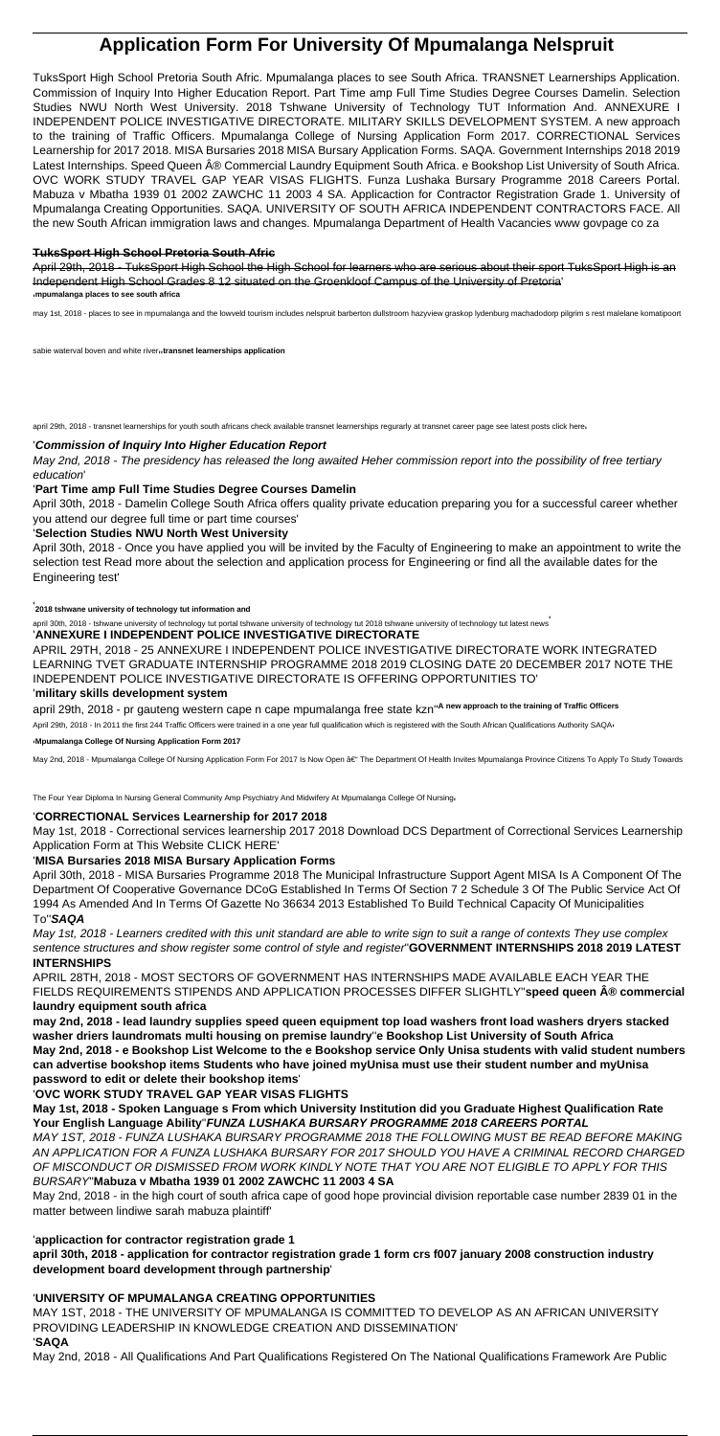# **Application Form For University Of Mpumalanga Nelspruit**

TuksSport High School Pretoria South Afric. Mpumalanga places to see South Africa. TRANSNET Learnerships Application. Commission of Inquiry Into Higher Education Report. Part Time amp Full Time Studies Degree Courses Damelin. Selection Studies NWU North West University. 2018 Tshwane University of Technology TUT Information And. ANNEXURE I INDEPENDENT POLICE INVESTIGATIVE DIRECTORATE. MILITARY SKILLS DEVELOPMENT SYSTEM. A new approach to the training of Traffic Officers. Mpumalanga College of Nursing Application Form 2017. CORRECTIONAL Services Learnership for 2017 2018. MISA Bursaries 2018 MISA Bursary Application Forms. SAQA. Government Internships 2018 2019 Latest Internships. Speed Queen ® Commercial Laundry Equipment South Africa. e Bookshop List University of South Africa. OVC WORK STUDY TRAVEL GAP YEAR VISAS FLIGHTS. Funza Lushaka Bursary Programme 2018 Careers Portal. Mabuza v Mbatha 1939 01 2002 ZAWCHC 11 2003 4 SA. Applicaction for Contractor Registration Grade 1. University of Mpumalanga Creating Opportunities. SAQA. UNIVERSITY OF SOUTH AFRICA INDEPENDENT CONTRACTORS FACE. All the new South African immigration laws and changes. Mpumalanga Department of Health Vacancies www govpage co za

#### **TuksSport High School Pretoria South Afric**

April 29th, 2018 - TuksSport High School the High School for learners who are serious about their sport TuksSport High is an Independent High School Grades 8 12 situated on the Groenkloof Campus of the University of Pretoria' '**mpumalanga places to see south africa**

may 1st, 2018 - places to see in mpumalanga and the lowveld tourism includes nelspruit barberton dullstroom hazyview graskop lydenburg machadodorp pilgrim s rest malelane komatipoort

sabie waterval boven and white river<sub>11</sub> transnet learnerships application

april 29th, 2018 - transnet learnerships for youth south africans check available transnet learnerships requrarly at transnet career page see latest posts click here

april 29th, 2018 - pr gauteng western cape n cape mpumalanga free state kzn''**A new approach to the training of Traffic Officers** April 29th, 2018 - In 2011 the first 244 Traffic Officers were trained in a one year full qualification which is registered with the South African Qualifications Authority SAQAr

#### '**Commission of Inquiry Into Higher Education Report**

May 2nd, 2018 - The presidency has released the long awaited Heher commission report into the possibility of free tertiary education'

#### '**Part Time amp Full Time Studies Degree Courses Damelin**

April 30th, 2018 - Damelin College South Africa offers quality private education preparing you for a successful career whether you attend our degree full time or part time courses'

#### '**Selection Studies NWU North West University**

April 30th, 2018 - Once you have applied you will be invited by the Faculty of Engineering to make an appointment to write the selection test Read more about the selection and application process for Engineering or find all the available dates for the Engineering test'

'**2018 tshwane university of technology tut information and**

april 30th, 2018 - tshwane university of technology tut portal tshwane university of technology tut 2018 tshwane university of technology tut latest news'

#### '**ANNEXURE I INDEPENDENT POLICE INVESTIGATIVE DIRECTORATE**

APRIL 29TH, 2018 - 25 ANNEXURE I INDEPENDENT POLICE INVESTIGATIVE DIRECTORATE WORK INTEGRATED LEARNING TVET GRADUATE INTERNSHIP PROGRAMME 2018 2019 CLOSING DATE 20 DECEMBER 2017 NOTE THE INDEPENDENT POLICE INVESTIGATIVE DIRECTORATE IS OFFERING OPPORTUNITIES TO'

#### '**military skills development system**

'**Mpumalanga College Of Nursing Application Form 2017**

May 2nd, 2018 - Mpumalanga College Of Nursing Application Form For 2017 Is Now Open – The Department Of Health Invites Mpumalanga Province Citizens To Apply To Study Towards

The Four Year Diploma In Nursing General Community Amp Psychiatry And Midwifery At Mpumalanga College Of Nursing'

#### '**CORRECTIONAL Services Learnership for 2017 2018**

May 1st, 2018 - Correctional services learnership 2017 2018 Download DCS Department of Correctional Services Learnership Application Form at This Website CLICK HERE'

#### '**MISA Bursaries 2018 MISA Bursary Application Forms**

April 30th, 2018 - MISA Bursaries Programme 2018 The Municipal Infrastructure Support Agent MISA Is A Component Of The Department Of Cooperative Governance DCoG Established In Terms Of Section 7 2 Schedule 3 Of The Public Service Act Of 1994 As Amended And In Terms Of Gazette No 36634 2013 Established To Build Technical Capacity Of Municipalities To''**SAQA**

May 1st, 2018 - Learners credited with this unit standard are able to write sign to suit a range of contexts They use complex sentence structures and show register some control of style and register''**GOVERNMENT INTERNSHIPS 2018 2019 LATEST INTERNSHIPS**

APRIL 28TH, 2018 - MOST SECTORS OF GOVERNMENT HAS INTERNSHIPS MADE AVAILABLE EACH YEAR THE FIELDS REQUIREMENTS STIPENDS AND APPLICATION PROCESSES DIFFER SLIGHTLY"speed queen ® commercial **laundry equipment south africa**

**may 2nd, 2018 - lead laundry supplies speed queen equipment top load washers front load washers dryers stacked washer driers laundromats multi housing on premise laundry**''**e Bookshop List University of South Africa May 2nd, 2018 - e Bookshop List Welcome to the e Bookshop service Only Unisa students with valid student numbers can advertise bookshop items Students who have joined myUnisa must use their student number and myUnisa password to edit or delete their bookshop items**'

#### '**OVC WORK STUDY TRAVEL GAP YEAR VISAS FLIGHTS**

**May 1st, 2018 - Spoken Language s From which University Institution did you Graduate Highest Qualification Rate Your English Language Ability**''**FUNZA LUSHAKA BURSARY PROGRAMME 2018 CAREERS PORTAL** MAY 1ST, 2018 - FUNZA LUSHAKA BURSARY PROGRAMME 2018 THE FOLLOWING MUST BE READ BEFORE MAKING AN APPLICATION FOR A FUNZA LUSHAKA BURSARY FOR 2017 SHOULD YOU HAVE A CRIMINAL RECORD CHARGED OF MISCONDUCT OR DISMISSED FROM WORK KINDLY NOTE THAT YOU ARE NOT ELIGIBLE TO APPLY FOR THIS BURSARY''**Mabuza v Mbatha 1939 01 2002 ZAWCHC 11 2003 4 SA**

May 2nd, 2018 - in the high court of south africa cape of good hope provincial division reportable case number 2839 01 in the matter between lindiwe sarah mabuza plaintiff'

'**applicaction for contractor registration grade 1**

**april 30th, 2018 - application for contractor registration grade 1 form crs f007 january 2008 construction industry development board development through partnership**'

### '**UNIVERSITY OF MPUMALANGA CREATING OPPORTUNITIES**

MAY 1ST, 2018 - THE UNIVERSITY OF MPUMALANGA IS COMMITTED TO DEVELOP AS AN AFRICAN UNIVERSITY PROVIDING LEADERSHIP IN KNOWLEDGE CREATION AND DISSEMINATION'

#### '**SAQA**

May 2nd, 2018 - All Qualifications And Part Qualifications Registered On The National Qualifications Framework Are Public